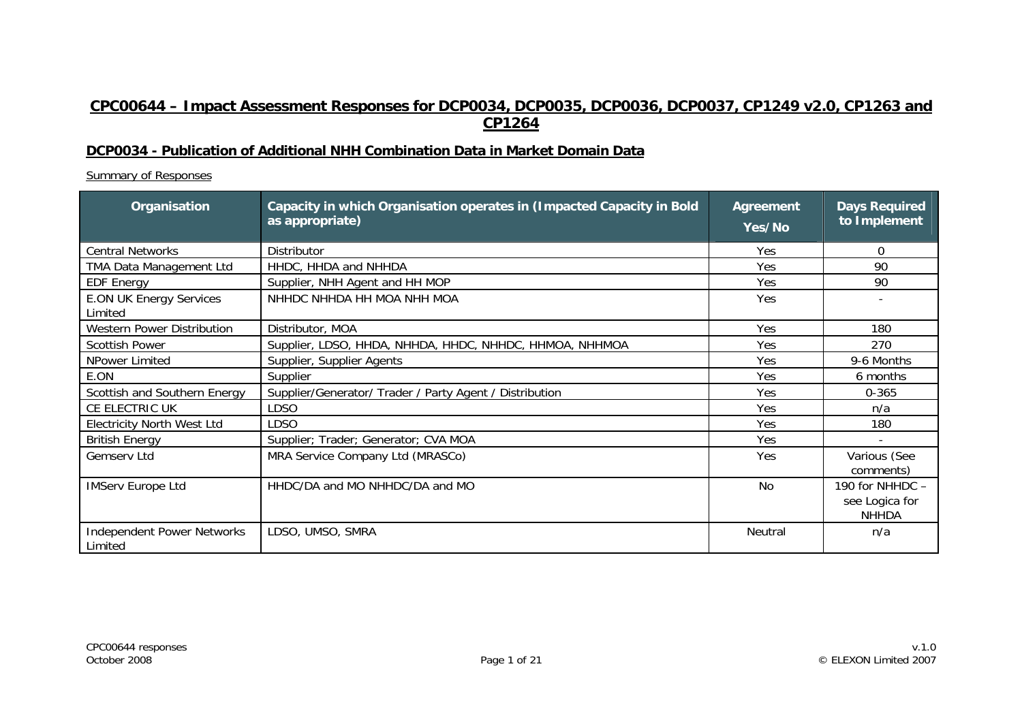# **CPC00644 – Impact Assessment Responses for DCP0034, DCP0035, DCP0036, DCP0037, CP1249 v2.0, CP1263 and CP1264**

#### **DCP0034 - Publication of Additional NHH Combination Data in Market Domain Data**

Summary of Responses

| Organisation                                 | Capacity in which Organisation operates in (Impacted Capacity in Bold<br>as appropriate) | <b>Agreement</b><br>Yes/No | <b>Days Required</b><br>to Implement              |
|----------------------------------------------|------------------------------------------------------------------------------------------|----------------------------|---------------------------------------------------|
| <b>Central Networks</b>                      | <b>Distributor</b>                                                                       | <b>Yes</b>                 | 0                                                 |
| TMA Data Management Ltd                      | HHDC, HHDA and NHHDA                                                                     | Yes                        | 90                                                |
| <b>EDF Energy</b>                            | Supplier, NHH Agent and HH MOP                                                           | Yes                        | 90                                                |
| <b>E.ON UK Energy Services</b><br>Limited    | NHHDC NHHDA HH MOA NHH MOA                                                               | Yes                        |                                                   |
| <b>Western Power Distribution</b>            | Distributor, MOA                                                                         | Yes                        | 180                                               |
| <b>Scottish Power</b>                        | Supplier, LDSO, HHDA, NHHDA, HHDC, NHHDC, HHMOA, NHHMOA                                  | Yes                        | 270                                               |
| NPower Limited                               | Supplier, Supplier Agents                                                                | Yes                        | 9-6 Months                                        |
| E.ON                                         | Supplier                                                                                 | Yes                        | 6 months                                          |
| Scottish and Southern Energy                 | Supplier/Generator/ Trader / Party Agent / Distribution                                  | Yes                        | $0 - 365$                                         |
| CE ELECTRIC UK                               | <b>LDSO</b>                                                                              | Yes                        | n/a                                               |
| <b>Electricity North West Ltd</b>            | <b>LDSO</b>                                                                              | Yes                        | 180                                               |
| <b>British Energy</b>                        | Supplier; Trader; Generator; CVA MOA                                                     | Yes                        |                                                   |
| Gemserv Ltd                                  | MRA Service Company Ltd (MRASCo)                                                         | Yes                        | Various (See<br>comments)                         |
| <b>IMServ Europe Ltd</b>                     | HHDC/DA and MO NHHDC/DA and MO                                                           | No                         | 190 for NHHDC -<br>see Logica for<br><b>NHHDA</b> |
| <b>Independent Power Networks</b><br>Limited | LDSO, UMSO, SMRA                                                                         | Neutral                    | n/a                                               |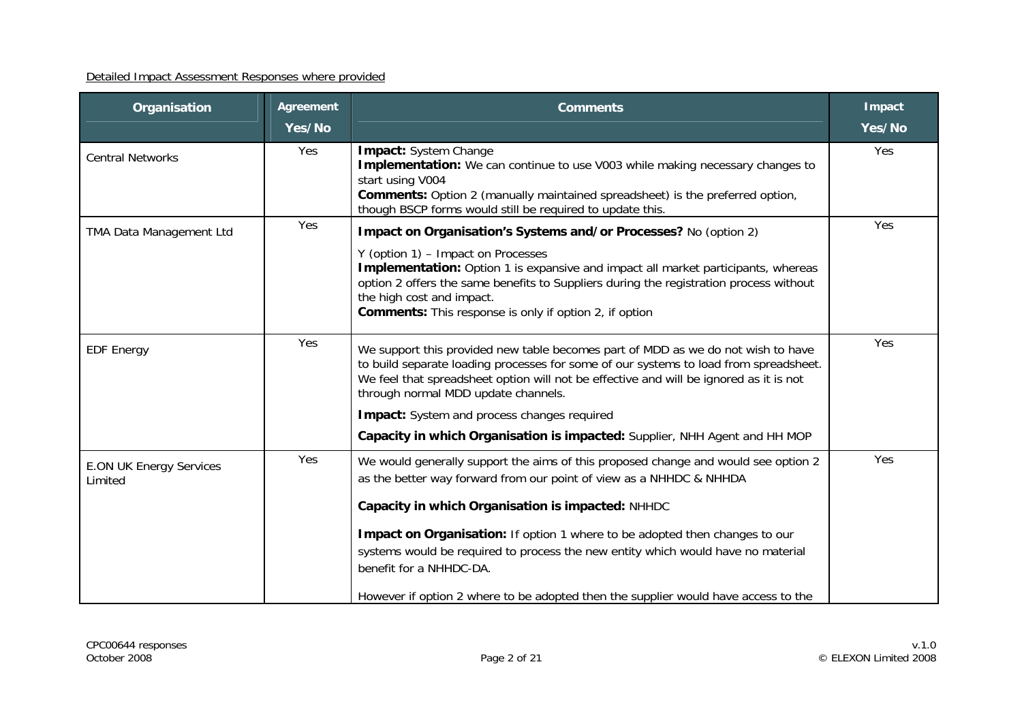| Organisation                              | <b>Agreement</b><br>Yes/No | <b>Comments</b>                                                                                                                                                                                                                                                                                                                                                                                                                                                                                    | <b>Impact</b><br>Yes/No |
|-------------------------------------------|----------------------------|----------------------------------------------------------------------------------------------------------------------------------------------------------------------------------------------------------------------------------------------------------------------------------------------------------------------------------------------------------------------------------------------------------------------------------------------------------------------------------------------------|-------------------------|
| <b>Central Networks</b>                   | Yes                        | <b>Impact:</b> System Change<br><b>Implementation:</b> We can continue to use V003 while making necessary changes to<br>start using V004<br><b>Comments:</b> Option 2 (manually maintained spreadsheet) is the preferred option,<br>though BSCP forms would still be required to update this.                                                                                                                                                                                                      | Yes                     |
| TMA Data Management Ltd                   | Yes                        | Impact on Organisation's Systems and/or Processes? No (option 2)<br>Y (option 1) - Impact on Processes<br>Implementation: Option 1 is expansive and impact all market participants, whereas<br>option 2 offers the same benefits to Suppliers during the registration process without<br>the high cost and impact.<br><b>Comments:</b> This response is only if option 2, if option                                                                                                                | Yes                     |
| <b>EDF Energy</b>                         | Yes                        | We support this provided new table becomes part of MDD as we do not wish to have<br>to build separate loading processes for some of our systems to load from spreadsheet.<br>We feel that spreadsheet option will not be effective and will be ignored as it is not<br>through normal MDD update channels.<br><b>Impact:</b> System and process changes required<br>Capacity in which Organisation is impacted: Supplier, NHH Agent and HH MOP                                                     | Yes                     |
| <b>E.ON UK Energy Services</b><br>Limited | Yes                        | We would generally support the aims of this proposed change and would see option 2<br>as the better way forward from our point of view as a NHHDC & NHHDA<br>Capacity in which Organisation is impacted: NHHDC<br>Impact on Organisation: If option 1 where to be adopted then changes to our<br>systems would be required to process the new entity which would have no material<br>benefit for a NHHDC-DA.<br>However if option 2 where to be adopted then the supplier would have access to the | Yes                     |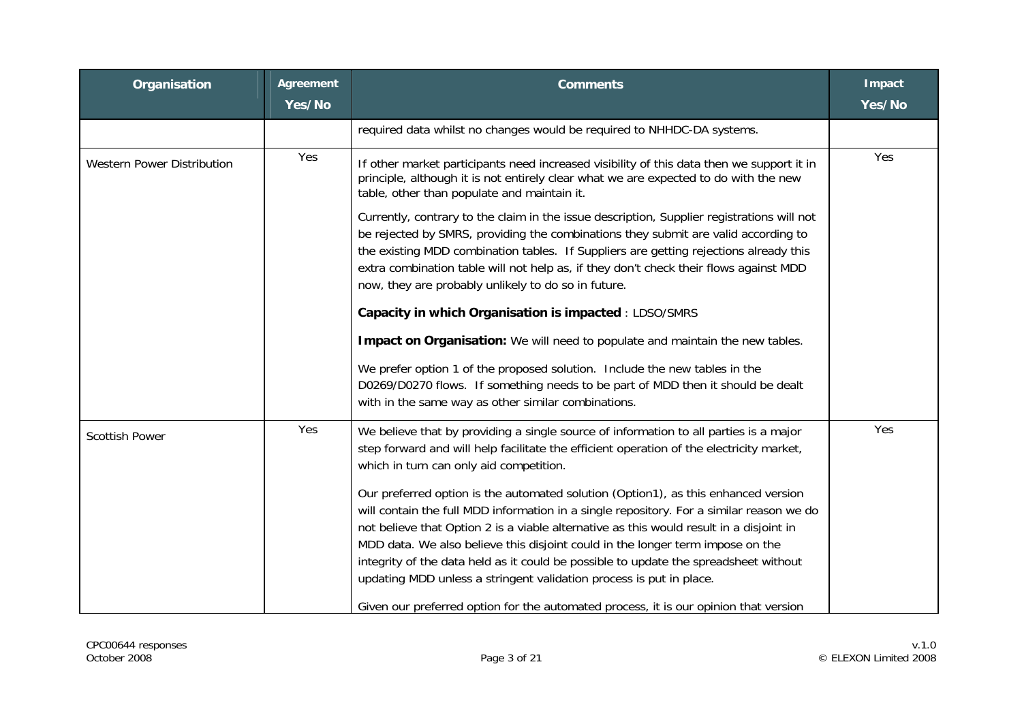| Organisation                      | Agreement<br>Yes/No | <b>Comments</b>                                                                                                                                                                                                                                                                                                                                                                                                                                                                                                            | <b>Impact</b><br>Yes/No |
|-----------------------------------|---------------------|----------------------------------------------------------------------------------------------------------------------------------------------------------------------------------------------------------------------------------------------------------------------------------------------------------------------------------------------------------------------------------------------------------------------------------------------------------------------------------------------------------------------------|-------------------------|
|                                   |                     | required data whilst no changes would be required to NHHDC-DA systems.                                                                                                                                                                                                                                                                                                                                                                                                                                                     |                         |
| <b>Western Power Distribution</b> | Yes                 | If other market participants need increased visibility of this data then we support it in<br>principle, although it is not entirely clear what we are expected to do with the new<br>table, other than populate and maintain it.                                                                                                                                                                                                                                                                                           | Yes                     |
|                                   |                     | Currently, contrary to the claim in the issue description, Supplier registrations will not<br>be rejected by SMRS, providing the combinations they submit are valid according to<br>the existing MDD combination tables. If Suppliers are getting rejections already this<br>extra combination table will not help as, if they don't check their flows against MDD<br>now, they are probably unlikely to do so in future.                                                                                                  |                         |
|                                   |                     | Capacity in which Organisation is impacted : LDSO/SMRS                                                                                                                                                                                                                                                                                                                                                                                                                                                                     |                         |
|                                   |                     | Impact on Organisation: We will need to populate and maintain the new tables.                                                                                                                                                                                                                                                                                                                                                                                                                                              |                         |
|                                   |                     | We prefer option 1 of the proposed solution. Include the new tables in the<br>D0269/D0270 flows. If something needs to be part of MDD then it should be dealt<br>with in the same way as other similar combinations.                                                                                                                                                                                                                                                                                                       |                         |
| <b>Scottish Power</b>             | Yes                 | We believe that by providing a single source of information to all parties is a major<br>step forward and will help facilitate the efficient operation of the electricity market,<br>which in turn can only aid competition.                                                                                                                                                                                                                                                                                               | Yes                     |
|                                   |                     | Our preferred option is the automated solution (Option1), as this enhanced version<br>will contain the full MDD information in a single repository. For a similar reason we do<br>not believe that Option 2 is a viable alternative as this would result in a disjoint in<br>MDD data. We also believe this disjoint could in the longer term impose on the<br>integrity of the data held as it could be possible to update the spreadsheet without<br>updating MDD unless a stringent validation process is put in place. |                         |
|                                   |                     | Given our preferred option for the automated process, it is our opinion that version                                                                                                                                                                                                                                                                                                                                                                                                                                       |                         |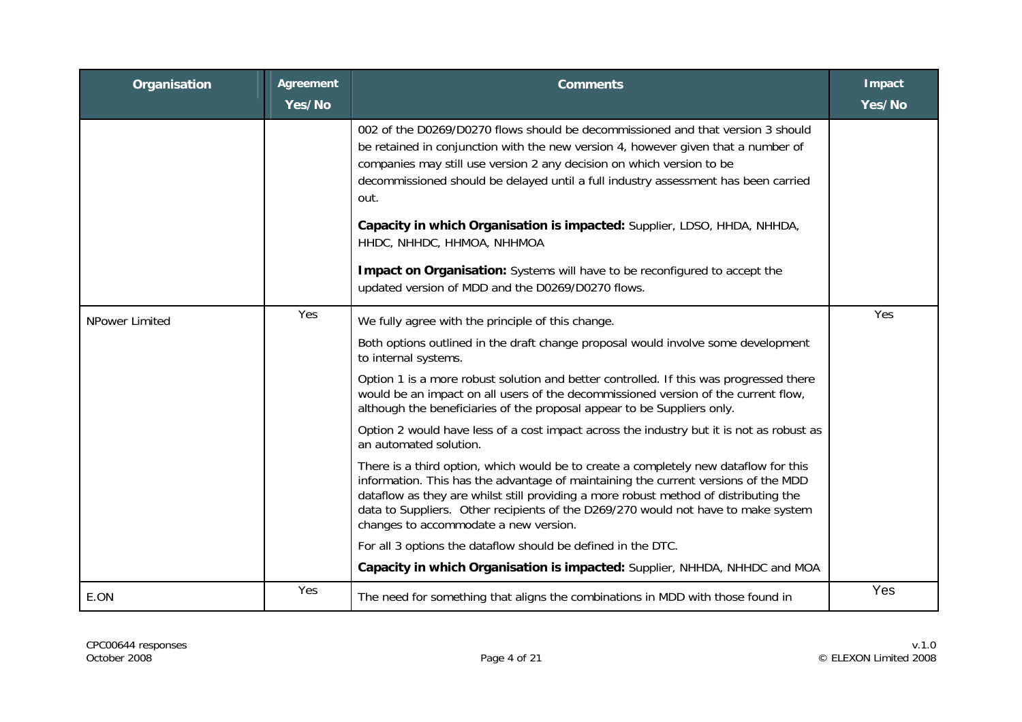| Organisation   | <b>Agreement</b><br>Yes/No | <b>Comments</b>                                                                                                                                                                                                                                                                                                                                                                                                         | <b>Impact</b><br>Yes/No |
|----------------|----------------------------|-------------------------------------------------------------------------------------------------------------------------------------------------------------------------------------------------------------------------------------------------------------------------------------------------------------------------------------------------------------------------------------------------------------------------|-------------------------|
|                |                            | 002 of the D0269/D0270 flows should be decommissioned and that version 3 should<br>be retained in conjunction with the new version 4, however given that a number of<br>companies may still use version 2 any decision on which version to be<br>decommissioned should be delayed until a full industry assessment has been carried<br>out.<br>Capacity in which Organisation is impacted: Supplier, LDSO, HHDA, NHHDA, |                         |
|                |                            | HHDC, NHHDC, HHMOA, NHHMOA<br>Impact on Organisation: Systems will have to be reconfigured to accept the<br>updated version of MDD and the D0269/D0270 flows.                                                                                                                                                                                                                                                           |                         |
| NPower Limited | Yes                        | We fully agree with the principle of this change.                                                                                                                                                                                                                                                                                                                                                                       | Yes                     |
|                |                            | Both options outlined in the draft change proposal would involve some development<br>to internal systems.                                                                                                                                                                                                                                                                                                               |                         |
|                |                            | Option 1 is a more robust solution and better controlled. If this was progressed there<br>would be an impact on all users of the decommissioned version of the current flow,<br>although the beneficiaries of the proposal appear to be Suppliers only.                                                                                                                                                                 |                         |
|                |                            | Option 2 would have less of a cost impact across the industry but it is not as robust as<br>an automated solution.                                                                                                                                                                                                                                                                                                      |                         |
|                |                            | There is a third option, which would be to create a completely new dataflow for this<br>information. This has the advantage of maintaining the current versions of the MDD<br>dataflow as they are whilst still providing a more robust method of distributing the<br>data to Suppliers. Other recipients of the D269/270 would not have to make system<br>changes to accommodate a new version.                        |                         |
|                |                            | For all 3 options the dataflow should be defined in the DTC.                                                                                                                                                                                                                                                                                                                                                            |                         |
|                |                            | Capacity in which Organisation is impacted: Supplier, NHHDA, NHHDC and MOA                                                                                                                                                                                                                                                                                                                                              |                         |
| E.ON           | Yes                        | The need for something that aligns the combinations in MDD with those found in                                                                                                                                                                                                                                                                                                                                          | Yes                     |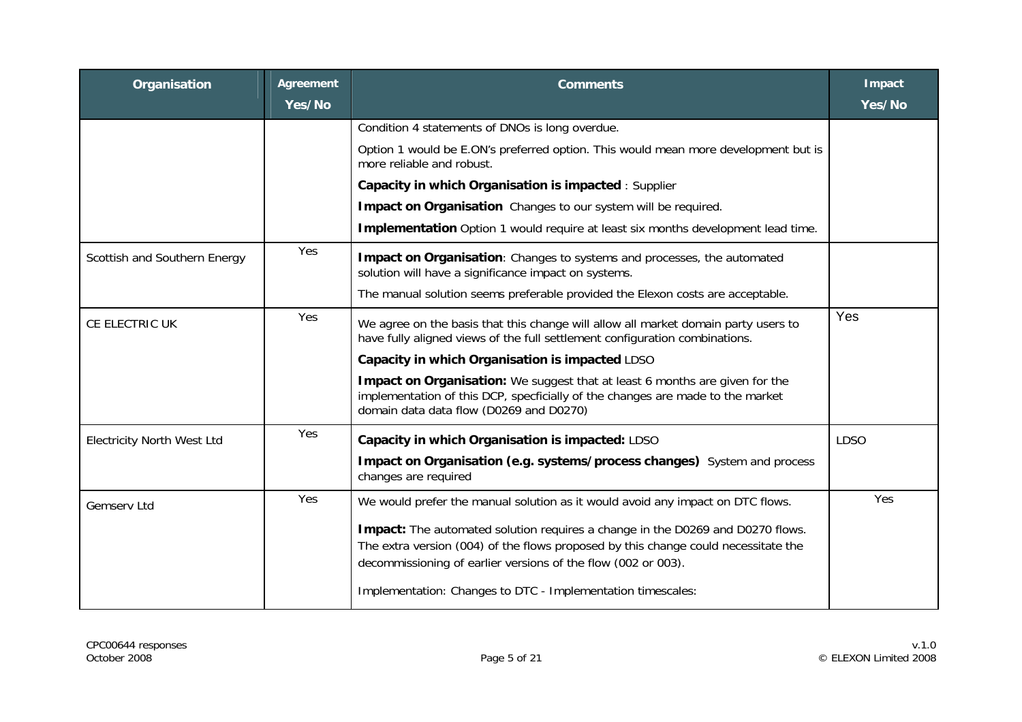| Organisation                      | Agreement | <b>Comments</b>                                                                                                                                                                                                                       | Impact      |
|-----------------------------------|-----------|---------------------------------------------------------------------------------------------------------------------------------------------------------------------------------------------------------------------------------------|-------------|
|                                   | Yes/No    |                                                                                                                                                                                                                                       | Yes/No      |
|                                   |           | Condition 4 statements of DNOs is long overdue.                                                                                                                                                                                       |             |
|                                   |           | Option 1 would be E.ON's preferred option. This would mean more development but is<br>more reliable and robust.                                                                                                                       |             |
|                                   |           | Capacity in which Organisation is impacted : Supplier                                                                                                                                                                                 |             |
|                                   |           | Impact on Organisation Changes to our system will be required.                                                                                                                                                                        |             |
|                                   |           | Implementation Option 1 would require at least six months development lead time.                                                                                                                                                      |             |
| Scottish and Southern Energy      | Yes       | Impact on Organisation: Changes to systems and processes, the automated<br>solution will have a significance impact on systems.                                                                                                       |             |
|                                   |           | The manual solution seems preferable provided the Elexon costs are acceptable.                                                                                                                                                        |             |
| CE ELECTRIC UK                    | Yes       | We agree on the basis that this change will allow all market domain party users to<br>have fully aligned views of the full settlement configuration combinations.                                                                     | Yes         |
|                                   |           | Capacity in which Organisation is impacted LDSO                                                                                                                                                                                       |             |
|                                   |           | Impact on Organisation: We suggest that at least 6 months are given for the<br>implementation of this DCP, specficially of the changes are made to the market<br>domain data data flow (D0269 and D0270)                              |             |
| <b>Electricity North West Ltd</b> | Yes       | Capacity in which Organisation is impacted: LDSO                                                                                                                                                                                      | <b>LDSO</b> |
|                                   |           | Impact on Organisation (e.g. systems/process changes) System and process<br>changes are required                                                                                                                                      |             |
| Gemserv Ltd                       | Yes       | We would prefer the manual solution as it would avoid any impact on DTC flows.                                                                                                                                                        | Yes         |
|                                   |           | Impact: The automated solution requires a change in the D0269 and D0270 flows.<br>The extra version (004) of the flows proposed by this change could necessitate the<br>decommissioning of earlier versions of the flow (002 or 003). |             |
|                                   |           | Implementation: Changes to DTC - Implementation timescales:                                                                                                                                                                           |             |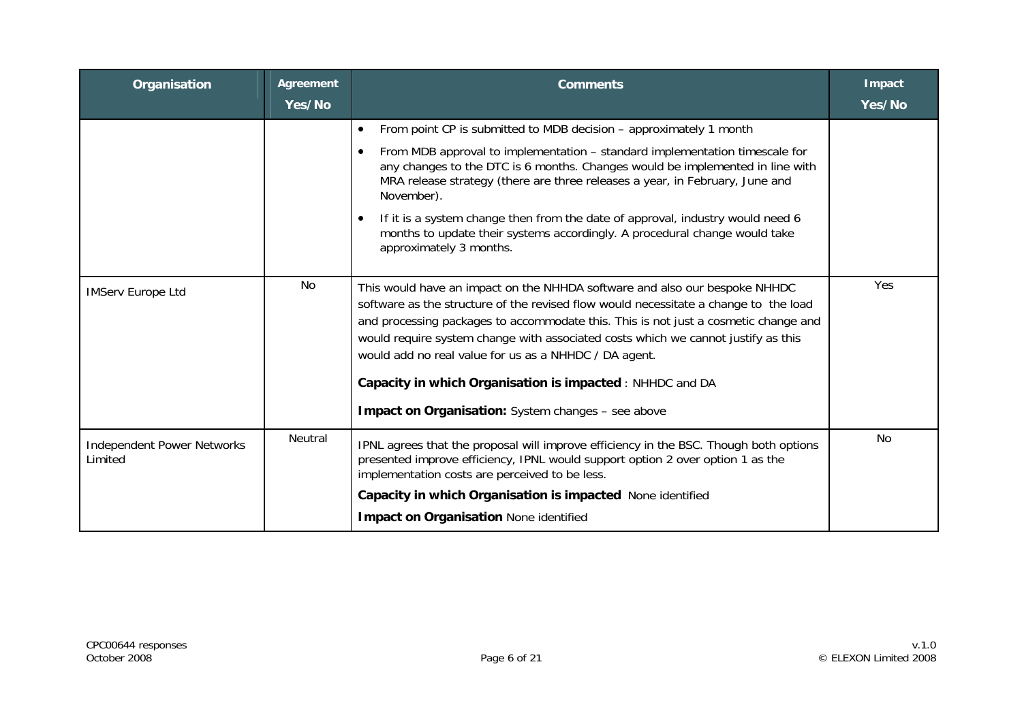| Organisation                                 | <b>Agreement</b><br>Yes/No | <b>Comments</b>                                                                                                                                                                                                                                                                                                                                                                                                                                                      | Impact<br>Yes/No |
|----------------------------------------------|----------------------------|----------------------------------------------------------------------------------------------------------------------------------------------------------------------------------------------------------------------------------------------------------------------------------------------------------------------------------------------------------------------------------------------------------------------------------------------------------------------|------------------|
|                                              |                            | From point CP is submitted to MDB decision - approximately 1 month<br>$\bullet$                                                                                                                                                                                                                                                                                                                                                                                      |                  |
|                                              |                            | From MDB approval to implementation – standard implementation timescale for<br>$\bullet$<br>any changes to the DTC is 6 months. Changes would be implemented in line with<br>MRA release strategy (there are three releases a year, in February, June and<br>November).                                                                                                                                                                                              |                  |
|                                              |                            | If it is a system change then from the date of approval, industry would need 6<br>$\bullet$<br>months to update their systems accordingly. A procedural change would take<br>approximately 3 months.                                                                                                                                                                                                                                                                 |                  |
| <b>IMServ Europe Ltd</b>                     | No                         | This would have an impact on the NHHDA software and also our bespoke NHHDC<br>software as the structure of the revised flow would necessitate a change to the load<br>and processing packages to accommodate this. This is not just a cosmetic change and<br>would require system change with associated costs which we cannot justify as this<br>would add no real value for us as a NHHDC / DA agent.<br>Capacity in which Organisation is impacted : NHHDC and DA | Yes              |
|                                              |                            | <b>Impact on Organisation:</b> System changes - see above                                                                                                                                                                                                                                                                                                                                                                                                            |                  |
| <b>Independent Power Networks</b><br>Limited | Neutral                    | IPNL agrees that the proposal will improve efficiency in the BSC. Though both options<br>presented improve efficiency, IPNL would support option 2 over option 1 as the<br>implementation costs are perceived to be less.                                                                                                                                                                                                                                            | No               |
|                                              |                            | Capacity in which Organisation is impacted None identified                                                                                                                                                                                                                                                                                                                                                                                                           |                  |
|                                              |                            | <b>Impact on Organisation None identified</b>                                                                                                                                                                                                                                                                                                                                                                                                                        |                  |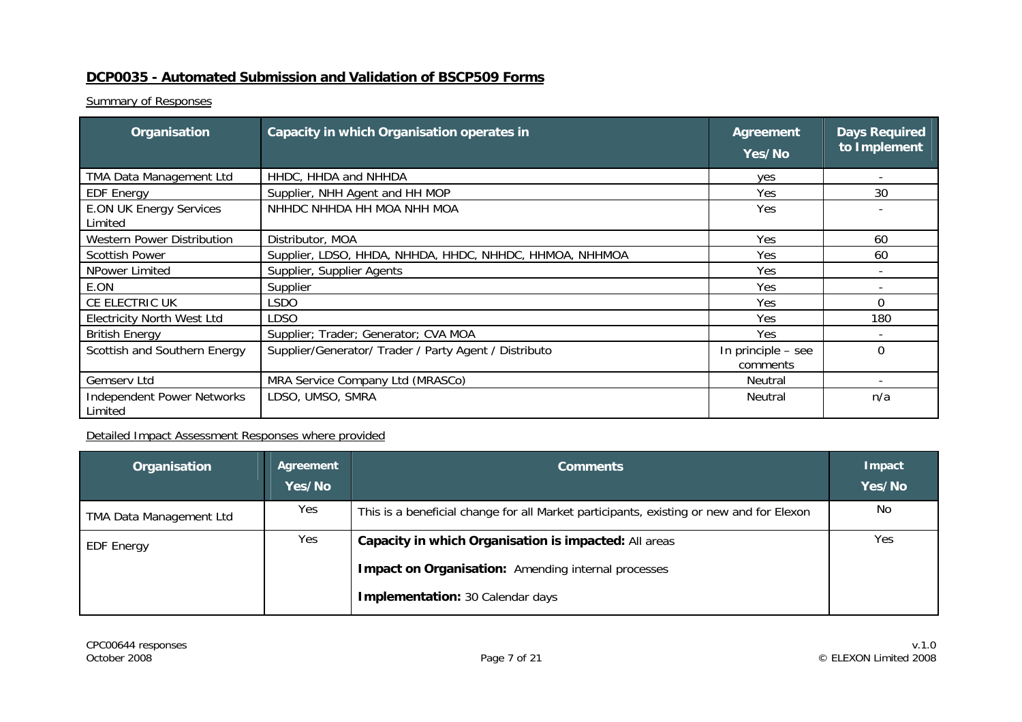### **DCP0035 - Automated Submission and Validation of BSCP509 Forms**

**Summary of Responses** 

| Organisation                                 | Capacity in which Organisation operates in              | Agreement<br>Yes/No | <b>Days Required</b><br>to Implement |
|----------------------------------------------|---------------------------------------------------------|---------------------|--------------------------------------|
| TMA Data Management Ltd                      | HHDC, HHDA and NHHDA                                    | yes                 |                                      |
| <b>EDF Energy</b>                            | Supplier, NHH Agent and HH MOP                          | Yes                 | 30                                   |
| <b>E.ON UK Energy Services</b>               | NHHDC NHHDA HH MOA NHH MOA                              | Yes                 |                                      |
| Limited                                      |                                                         |                     |                                      |
| Western Power Distribution                   | Distributor, MOA                                        | Yes.                | 60                                   |
| <b>Scottish Power</b>                        | Supplier, LDSO, HHDA, NHHDA, HHDC, NHHDC, HHMOA, NHHMOA | Yes.                | 60                                   |
| NPower Limited                               | Supplier, Supplier Agents                               | Yes                 |                                      |
| E.ON                                         | Supplier                                                | Yes.                |                                      |
| CE ELECTRIC UK                               | <b>LSDO</b>                                             | Yes.                | $\Omega$                             |
| <b>Electricity North West Ltd</b>            | <b>LDSO</b>                                             | Yes                 | 180                                  |
| <b>British Energy</b>                        | Supplier; Trader; Generator; CVA MOA                    | Yes                 |                                      |
| Scottish and Southern Energy                 | Supplier/Generator/ Trader / Party Agent / Distributo   | In principle – see  | $\Omega$                             |
|                                              |                                                         | comments            |                                      |
| Gemserv Ltd                                  | MRA Service Company Ltd (MRASCo)                        | Neutral             |                                      |
| <b>Independent Power Networks</b><br>Limited | LDSO, UMSO, SMRA                                        | Neutral             | n/a                                  |

| Organisation            | Agreement<br>Yes/No | <b>Comments</b>                                                                         | <b>Impact</b><br>Yes/No |
|-------------------------|---------------------|-----------------------------------------------------------------------------------------|-------------------------|
| TMA Data Management Ltd | Yes                 | This is a beneficial change for all Market participants, existing or new and for Elexon | No                      |
| <b>EDF Energy</b>       | Yes                 | Capacity in which Organisation is impacted: All areas                                   | Yes                     |
|                         |                     | <b>Impact on Organisation:</b> Amending internal processes                              |                         |
|                         |                     | <b>Implementation: 30 Calendar days</b>                                                 |                         |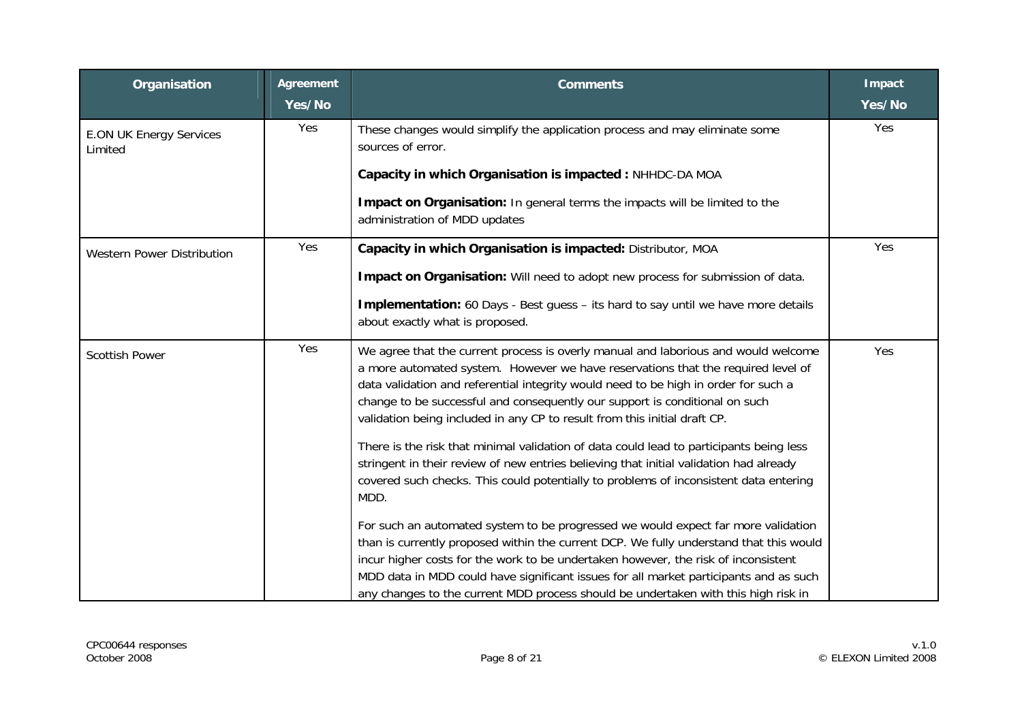| Organisation                              | Agreement<br>Yes/No | <b>Comments</b>                                                                                                                                                                                                                                                                                                                                                                                                                                  | <b>Impact</b><br>Yes/No |
|-------------------------------------------|---------------------|--------------------------------------------------------------------------------------------------------------------------------------------------------------------------------------------------------------------------------------------------------------------------------------------------------------------------------------------------------------------------------------------------------------------------------------------------|-------------------------|
| <b>E.ON UK Energy Services</b><br>Limited | Yes                 | These changes would simplify the application process and may eliminate some<br>sources of error.                                                                                                                                                                                                                                                                                                                                                 | Yes                     |
|                                           |                     | Capacity in which Organisation is impacted : NHHDC-DA MOA                                                                                                                                                                                                                                                                                                                                                                                        |                         |
|                                           |                     | Impact on Organisation: In general terms the impacts will be limited to the<br>administration of MDD updates                                                                                                                                                                                                                                                                                                                                     |                         |
| <b>Western Power Distribution</b>         | Yes                 | Capacity in which Organisation is impacted: Distributor, MOA                                                                                                                                                                                                                                                                                                                                                                                     | Yes                     |
|                                           |                     | Impact on Organisation: Will need to adopt new process for submission of data.                                                                                                                                                                                                                                                                                                                                                                   |                         |
|                                           |                     | Implementation: 60 Days - Best guess - its hard to say until we have more details<br>about exactly what is proposed.                                                                                                                                                                                                                                                                                                                             |                         |
| <b>Scottish Power</b>                     | Yes                 | We agree that the current process is overly manual and laborious and would welcome<br>a more automated system. However we have reservations that the required level of<br>data validation and referential integrity would need to be high in order for such a<br>change to be successful and consequently our support is conditional on such<br>validation being included in any CP to result from this initial draft CP.                        | Yes                     |
|                                           |                     | There is the risk that minimal validation of data could lead to participants being less<br>stringent in their review of new entries believing that initial validation had already<br>covered such checks. This could potentially to problems of inconsistent data entering<br>MDD.                                                                                                                                                               |                         |
|                                           |                     | For such an automated system to be progressed we would expect far more validation<br>than is currently proposed within the current DCP. We fully understand that this would<br>incur higher costs for the work to be undertaken however, the risk of inconsistent<br>MDD data in MDD could have significant issues for all market participants and as such<br>any changes to the current MDD process should be undertaken with this high risk in |                         |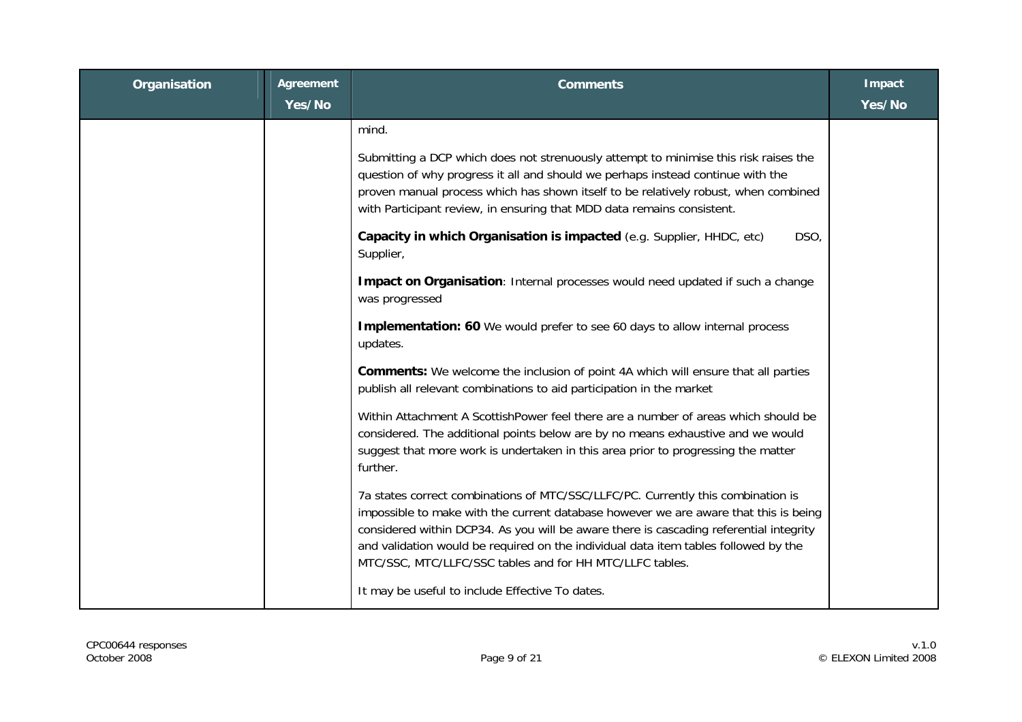| Organisation | <b>Agreement</b><br>Yes/No | <b>Comments</b>                                                                                                                                                                                                                                                                                                                                                                                                                                                                                                                                                                                                                                                                                                                                                                                                                                                                                                                                                                                                                                                                                                                                                                                                                                                                                                                                                    | Impact<br>Yes/No |
|--------------|----------------------------|--------------------------------------------------------------------------------------------------------------------------------------------------------------------------------------------------------------------------------------------------------------------------------------------------------------------------------------------------------------------------------------------------------------------------------------------------------------------------------------------------------------------------------------------------------------------------------------------------------------------------------------------------------------------------------------------------------------------------------------------------------------------------------------------------------------------------------------------------------------------------------------------------------------------------------------------------------------------------------------------------------------------------------------------------------------------------------------------------------------------------------------------------------------------------------------------------------------------------------------------------------------------------------------------------------------------------------------------------------------------|------------------|
|              |                            | mind.<br>Submitting a DCP which does not strenuously attempt to minimise this risk raises the<br>question of why progress it all and should we perhaps instead continue with the<br>proven manual process which has shown itself to be relatively robust, when combined<br>with Participant review, in ensuring that MDD data remains consistent.<br>Capacity in which Organisation is impacted (e.g. Supplier, HHDC, etc)<br>DSO,<br>Supplier,<br>Impact on Organisation: Internal processes would need updated if such a change<br>was progressed<br>Implementation: 60 We would prefer to see 60 days to allow internal process<br>updates.<br><b>Comments:</b> We welcome the inclusion of point 4A which will ensure that all parties<br>publish all relevant combinations to aid participation in the market<br>Within Attachment A ScottishPower feel there are a number of areas which should be<br>considered. The additional points below are by no means exhaustive and we would<br>suggest that more work is undertaken in this area prior to progressing the matter<br>further.<br>7a states correct combinations of MTC/SSC/LLFC/PC. Currently this combination is<br>impossible to make with the current database however we are aware that this is being<br>considered within DCP34. As you will be aware there is cascading referential integrity |                  |
|              |                            | and validation would be required on the individual data item tables followed by the<br>MTC/SSC, MTC/LLFC/SSC tables and for HH MTC/LLFC tables.<br>It may be useful to include Effective To dates.                                                                                                                                                                                                                                                                                                                                                                                                                                                                                                                                                                                                                                                                                                                                                                                                                                                                                                                                                                                                                                                                                                                                                                 |                  |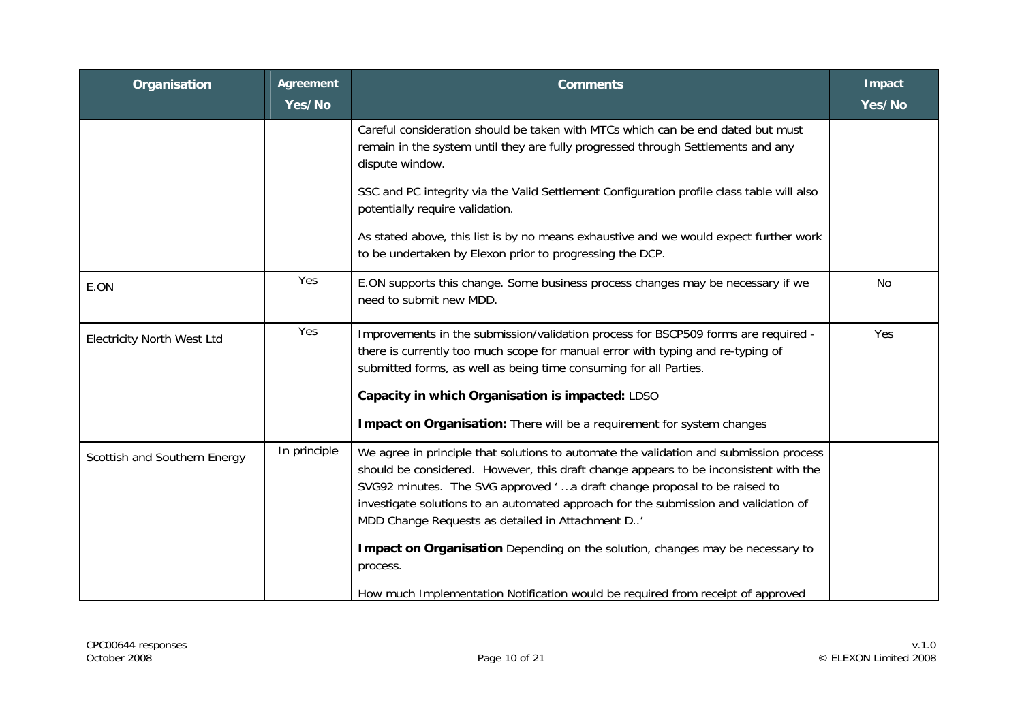| Organisation                      | <b>Agreement</b><br>Yes/No | <b>Comments</b>                                                                                                                                                                                                                                                                                                                                                                                       | Impact<br>Yes/No |
|-----------------------------------|----------------------------|-------------------------------------------------------------------------------------------------------------------------------------------------------------------------------------------------------------------------------------------------------------------------------------------------------------------------------------------------------------------------------------------------------|------------------|
|                                   |                            | Careful consideration should be taken with MTCs which can be end dated but must<br>remain in the system until they are fully progressed through Settlements and any<br>dispute window.                                                                                                                                                                                                                |                  |
|                                   |                            | SSC and PC integrity via the Valid Settlement Configuration profile class table will also<br>potentially require validation.                                                                                                                                                                                                                                                                          |                  |
|                                   |                            | As stated above, this list is by no means exhaustive and we would expect further work<br>to be undertaken by Elexon prior to progressing the DCP.                                                                                                                                                                                                                                                     |                  |
| E.ON                              | Yes                        | E.ON supports this change. Some business process changes may be necessary if we<br>need to submit new MDD.                                                                                                                                                                                                                                                                                            | No               |
| <b>Electricity North West Ltd</b> | Yes                        | Improvements in the submission/validation process for BSCP509 forms are required -<br>there is currently too much scope for manual error with typing and re-typing of<br>submitted forms, as well as being time consuming for all Parties.<br>Capacity in which Organisation is impacted: LDSO                                                                                                        | Yes              |
|                                   |                            | Impact on Organisation: There will be a requirement for system changes                                                                                                                                                                                                                                                                                                                                |                  |
| Scottish and Southern Energy      | In principle               | We agree in principle that solutions to automate the validation and submission process<br>should be considered. However, this draft change appears to be inconsistent with the<br>SVG92 minutes. The SVG approved 'a draft change proposal to be raised to<br>investigate solutions to an automated approach for the submission and validation of<br>MDD Change Requests as detailed in Attachment D' |                  |
|                                   |                            | Impact on Organisation Depending on the solution, changes may be necessary to<br>process.                                                                                                                                                                                                                                                                                                             |                  |
|                                   |                            | How much Implementation Notification would be required from receipt of approved                                                                                                                                                                                                                                                                                                                       |                  |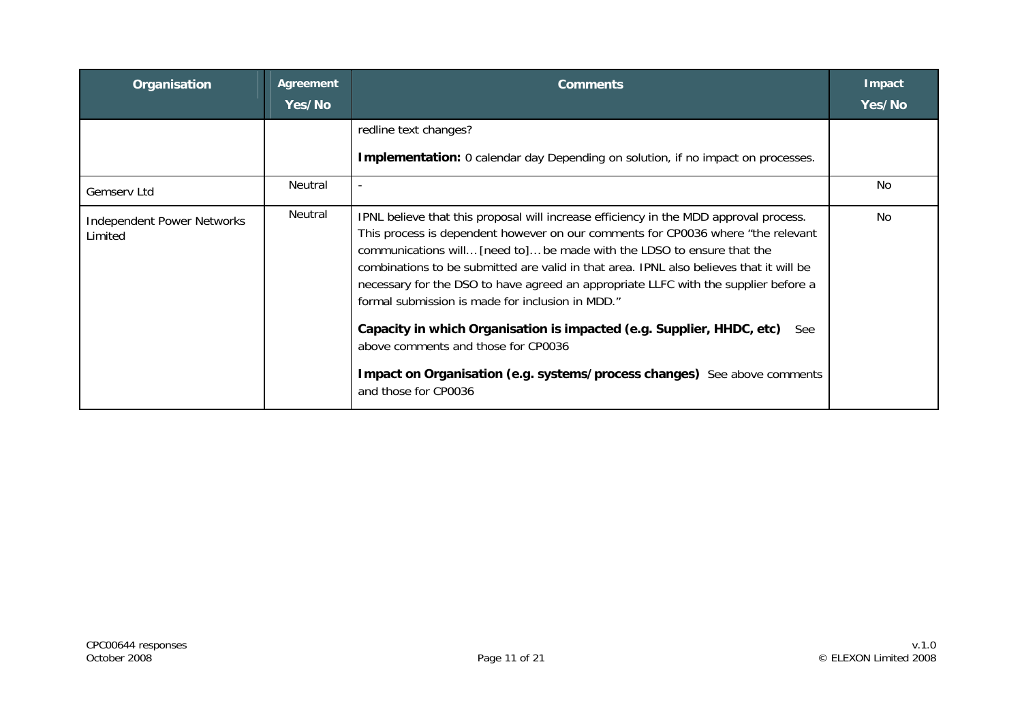| Organisation                                 | Agreement<br>Yes/No | <b>Comments</b>                                                                                                                                                                                                                                                                                                                                                                                                                                                                                                                                                                                                                                                                                                             | Impact<br>Yes/No |
|----------------------------------------------|---------------------|-----------------------------------------------------------------------------------------------------------------------------------------------------------------------------------------------------------------------------------------------------------------------------------------------------------------------------------------------------------------------------------------------------------------------------------------------------------------------------------------------------------------------------------------------------------------------------------------------------------------------------------------------------------------------------------------------------------------------------|------------------|
|                                              |                     | redline text changes?<br><b>Implementation:</b> 0 calendar day Depending on solution, if no impact on processes.                                                                                                                                                                                                                                                                                                                                                                                                                                                                                                                                                                                                            |                  |
| Gemserv Ltd                                  | Neutral             | $\overline{\phantom{a}}$                                                                                                                                                                                                                                                                                                                                                                                                                                                                                                                                                                                                                                                                                                    | No.              |
| <b>Independent Power Networks</b><br>Limited | Neutral             | IPNL believe that this proposal will increase efficiency in the MDD approval process.<br>This process is dependent however on our comments for CP0036 where "the relevant<br>communications will [need to] be made with the LDSO to ensure that the<br>combinations to be submitted are valid in that area. IPNL also believes that it will be<br>necessary for the DSO to have agreed an appropriate LLFC with the supplier before a<br>formal submission is made for inclusion in MDD."<br>Capacity in which Organisation is impacted (e.g. Supplier, HHDC, etc)<br><b>See</b><br>above comments and those for CP0036<br>Impact on Organisation (e.g. systems/process changes) See above comments<br>and those for CP0036 | No.              |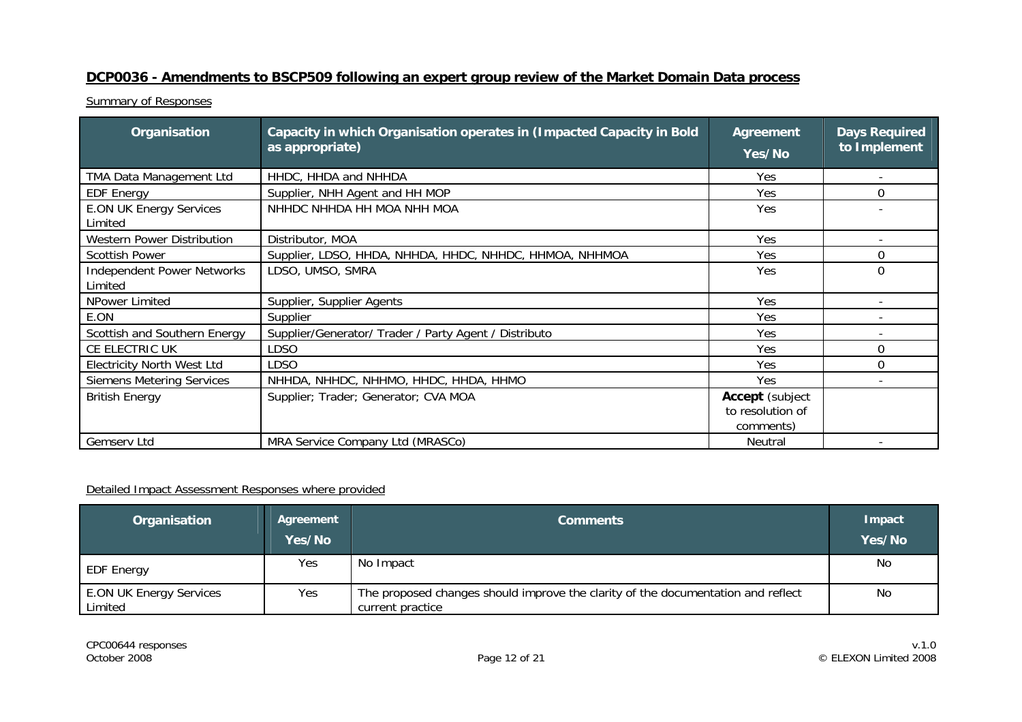## **DCP0036 - Amendments to BSCP509 following an expert group review of the Market Domain Data process**

Summary of Responses

| Organisation                                 | Capacity in which Organisation operates in (Impacted Capacity in Bold<br>as appropriate) | <b>Agreement</b><br>Yes/No                              | <b>Days Required</b><br>to Implement |
|----------------------------------------------|------------------------------------------------------------------------------------------|---------------------------------------------------------|--------------------------------------|
| TMA Data Management Ltd                      | HHDC, HHDA and NHHDA                                                                     | Yes                                                     |                                      |
| <b>EDF Energy</b>                            | Supplier, NHH Agent and HH MOP                                                           | Yes                                                     | $\Omega$                             |
| <b>E.ON UK Energy Services</b><br>Limited    | NHHDC NHHDA HH MOA NHH MOA                                                               | Yes                                                     |                                      |
| Western Power Distribution                   | Distributor, MOA                                                                         | Yes                                                     |                                      |
| <b>Scottish Power</b>                        | Supplier, LDSO, HHDA, NHHDA, HHDC, NHHDC, HHMOA, NHHMOA                                  | Yes                                                     | $\Omega$                             |
| <b>Independent Power Networks</b><br>Limited | LDSO, UMSO, SMRA                                                                         | Yes                                                     | $\Omega$                             |
| NPower Limited                               | Supplier, Supplier Agents                                                                | Yes                                                     |                                      |
| E.ON                                         | Supplier                                                                                 | Yes                                                     |                                      |
| Scottish and Southern Energy                 | Supplier/Generator/ Trader / Party Agent / Distributo                                    | Yes                                                     |                                      |
| CE ELECTRIC UK                               | LDSO                                                                                     | Yes                                                     | $\Omega$                             |
| <b>Electricity North West Ltd</b>            | LDSO                                                                                     | Yes                                                     | 0                                    |
| <b>Siemens Metering Services</b>             | NHHDA, NHHDC, NHHMO, HHDC, HHDA, HHMO                                                    | Yes                                                     |                                      |
| <b>British Energy</b>                        | Supplier; Trader; Generator; CVA MOA                                                     | <b>Accept</b> (subject<br>to resolution of<br>comments) |                                      |
| Gemserv Ltd                                  | MRA Service Company Ltd (MRASCo)                                                         | Neutral                                                 |                                      |

| Organisation                              | Agreement<br>Yes/No | <b>Comments</b>                                                                                      | Impact<br>Yes/No |
|-------------------------------------------|---------------------|------------------------------------------------------------------------------------------------------|------------------|
| <b>EDF Energy</b>                         | Yes                 | No Impact                                                                                            | No               |
| <b>E.ON UK Energy Services</b><br>Limited | Yes                 | The proposed changes should improve the clarity of the documentation and reflect<br>current practice | No               |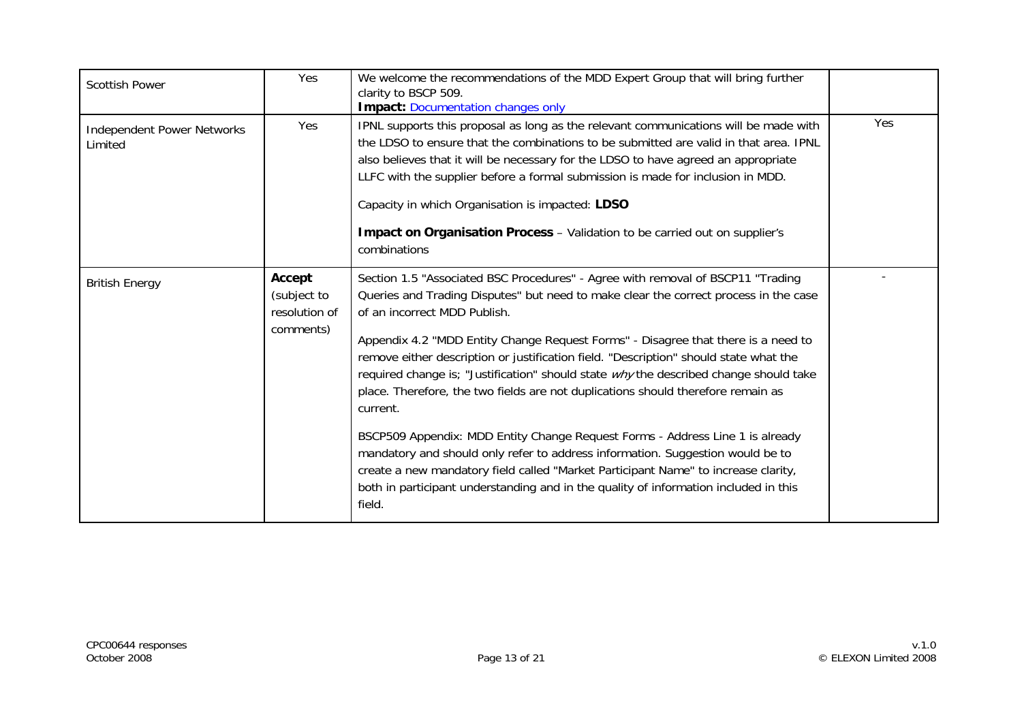| <b>Scottish Power</b>                        | Yes                                                 | We welcome the recommendations of the MDD Expert Group that will bring further<br>clarity to BSCP 509.<br><b>Impact: Documentation changes only</b>                                                                                                                                                                                                                                                                                                                                                                                                                                                                                                                                                                                                                                                                                                                                                                                       |     |
|----------------------------------------------|-----------------------------------------------------|-------------------------------------------------------------------------------------------------------------------------------------------------------------------------------------------------------------------------------------------------------------------------------------------------------------------------------------------------------------------------------------------------------------------------------------------------------------------------------------------------------------------------------------------------------------------------------------------------------------------------------------------------------------------------------------------------------------------------------------------------------------------------------------------------------------------------------------------------------------------------------------------------------------------------------------------|-----|
| <b>Independent Power Networks</b><br>Limited | Yes                                                 | IPNL supports this proposal as long as the relevant communications will be made with<br>the LDSO to ensure that the combinations to be submitted are valid in that area. IPNL<br>also believes that it will be necessary for the LDSO to have agreed an appropriate<br>LLFC with the supplier before a formal submission is made for inclusion in MDD.<br>Capacity in which Organisation is impacted: LDSO<br>Impact on Organisation Process - Validation to be carried out on supplier's<br>combinations                                                                                                                                                                                                                                                                                                                                                                                                                                 | Yes |
| <b>British Energy</b>                        | Accept<br>(subject to<br>resolution of<br>comments) | Section 1.5 "Associated BSC Procedures" - Agree with removal of BSCP11 "Trading<br>Queries and Trading Disputes" but need to make clear the correct process in the case<br>of an incorrect MDD Publish.<br>Appendix 4.2 "MDD Entity Change Request Forms" - Disagree that there is a need to<br>remove either description or justification field. "Description" should state what the<br>required change is; "Justification" should state why the described change should take<br>place. Therefore, the two fields are not duplications should therefore remain as<br>current.<br>BSCP509 Appendix: MDD Entity Change Request Forms - Address Line 1 is already<br>mandatory and should only refer to address information. Suggestion would be to<br>create a new mandatory field called "Market Participant Name" to increase clarity,<br>both in participant understanding and in the quality of information included in this<br>field. |     |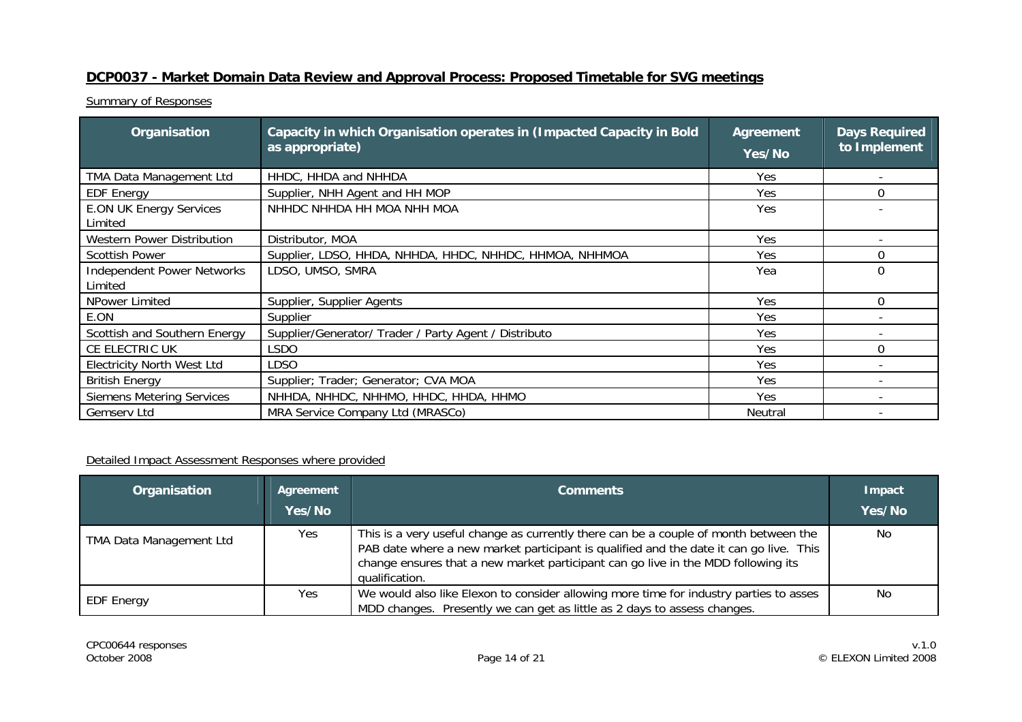## **DCP0037 - Market Domain Data Review and Approval Process: Proposed Timetable for SVG meetings**

**Summary of Responses** 

| Organisation                                 | Capacity in which Organisation operates in (Impacted Capacity in Bold<br>as appropriate) | Agreement<br>Yes/No | <b>Days Required</b><br>to Implement |
|----------------------------------------------|------------------------------------------------------------------------------------------|---------------------|--------------------------------------|
| TMA Data Management Ltd                      | HHDC, HHDA and NHHDA                                                                     | Yes                 |                                      |
| <b>EDF Energy</b>                            | Supplier, NHH Agent and HH MOP                                                           | Yes                 | $\Omega$                             |
| <b>E.ON UK Energy Services</b><br>Limited    | NHHDC NHHDA HH MOA NHH MOA                                                               | Yes                 |                                      |
| <b>Western Power Distribution</b>            | Distributor, MOA                                                                         | Yes                 |                                      |
| <b>Scottish Power</b>                        | Supplier, LDSO, HHDA, NHHDA, HHDC, NHHDC, HHMOA, NHHMOA                                  | Yes                 | $\Omega$                             |
| <b>Independent Power Networks</b><br>Limited | LDSO, UMSO, SMRA                                                                         | Yea                 | $\Omega$                             |
| NPower Limited                               | Supplier, Supplier Agents                                                                | Yes                 | $\Omega$                             |
| E.ON                                         | Supplier                                                                                 | Yes                 |                                      |
| Scottish and Southern Energy                 | Supplier/Generator/ Trader / Party Agent / Distributo                                    | Yes                 |                                      |
| CE ELECTRIC UK                               | <b>LSDO</b>                                                                              | Yes                 | $\mathbf 0$                          |
| <b>Electricity North West Ltd</b>            | LDSO                                                                                     | Yes                 |                                      |
| <b>British Energy</b>                        | Supplier; Trader; Generator; CVA MOA                                                     | Yes                 |                                      |
| <b>Siemens Metering Services</b>             | NHHDA, NHHDC, NHHMO, HHDC, HHDA, HHMO                                                    | Yes                 |                                      |
| <b>Gemserv Ltd</b>                           | MRA Service Company Ltd (MRASCo)                                                         | Neutral             |                                      |

| Organisation                   | Agreement<br>Yes/No | <b>Comments</b>                                                                                                                                                                                                                                                                       | Impact<br>Yes/No |
|--------------------------------|---------------------|---------------------------------------------------------------------------------------------------------------------------------------------------------------------------------------------------------------------------------------------------------------------------------------|------------------|
| <b>TMA Data Management Ltd</b> | Yes                 | This is a very useful change as currently there can be a couple of month between the<br>PAB date where a new market participant is qualified and the date it can go live. This<br>change ensures that a new market participant can go live in the MDD following its<br>qualification. | No               |
| <b>EDF Energy</b>              | Yes                 | We would also like Elexon to consider allowing more time for industry parties to asses<br>MDD changes. Presently we can get as little as 2 days to assess changes.                                                                                                                    | No               |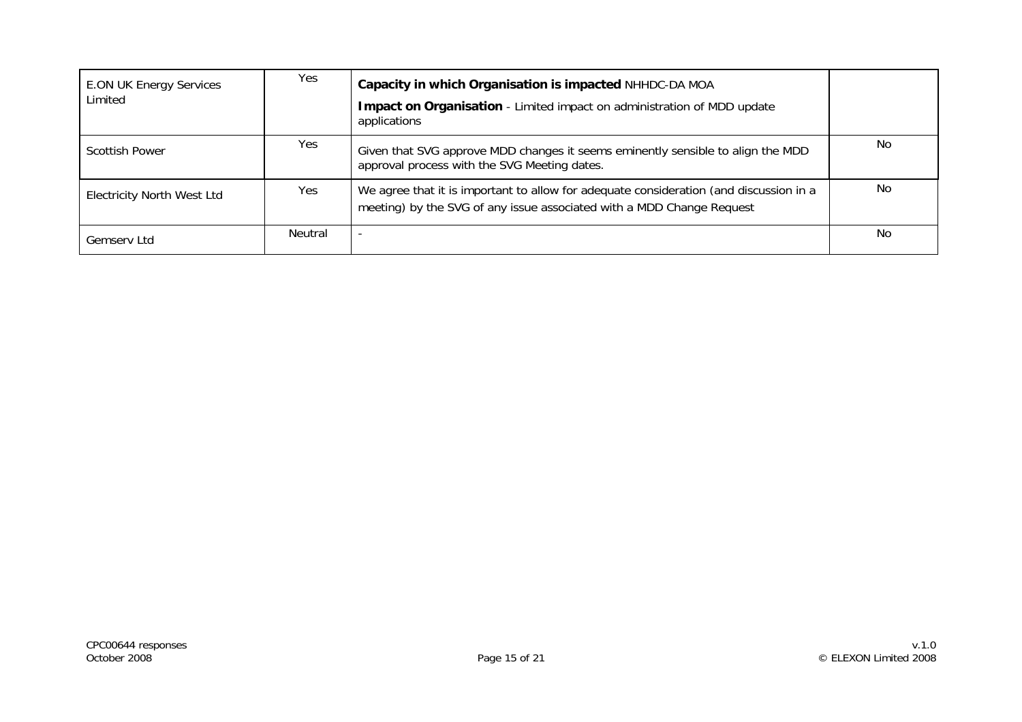| <b>E.ON UK Energy Services</b><br>Limited | Yes     | Capacity in which Organisation is impacted NHHDC-DA MOA<br>Impact on Organisation - Limited impact on administration of MDD update<br>applications              |     |
|-------------------------------------------|---------|-----------------------------------------------------------------------------------------------------------------------------------------------------------------|-----|
| Scottish Power                            | Yes.    | Given that SVG approve MDD changes it seems eminently sensible to align the MDD<br>approval process with the SVG Meeting dates.                                 | No  |
| <b>Electricity North West Ltd</b>         | Yes     | We agree that it is important to allow for adequate consideration (and discussion in a<br>meeting) by the SVG of any issue associated with a MDD Change Request | No. |
| <b>Gemserv Ltd</b>                        | Neutral |                                                                                                                                                                 | No. |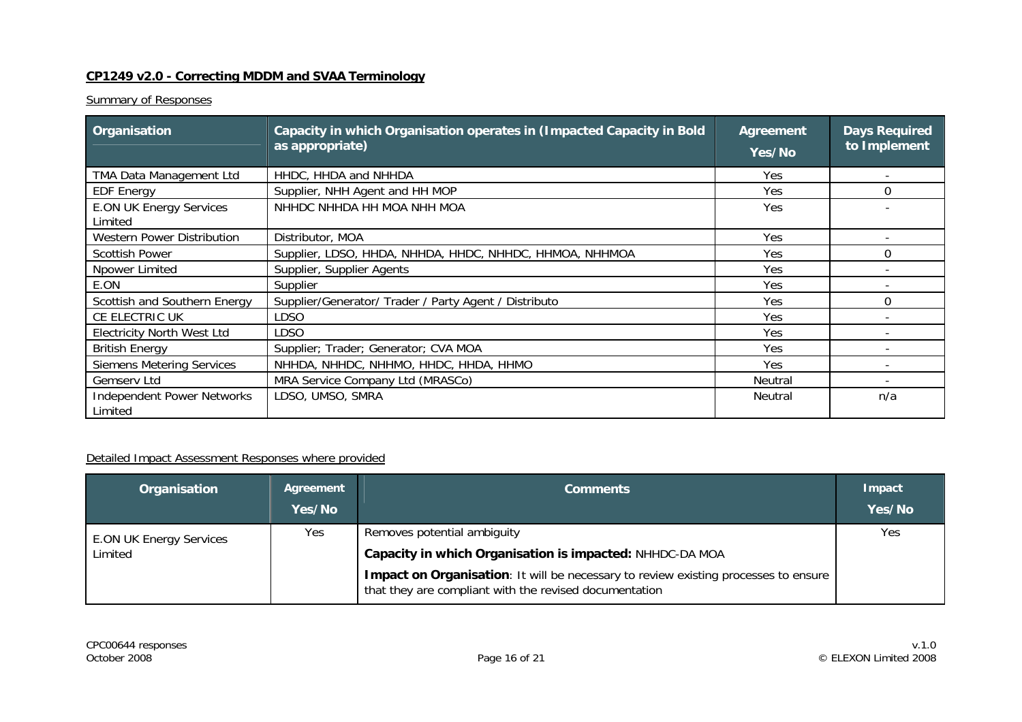#### **CP1249 v2.0 - Correcting MDDM and SVAA Terminology**

#### **Summary of Responses**

| Organisation                                 | Capacity in which Organisation operates in (Impacted Capacity in Bold<br>as appropriate) | Agreement<br>Yes/No | <b>Days Required</b><br>to Implement |
|----------------------------------------------|------------------------------------------------------------------------------------------|---------------------|--------------------------------------|
| TMA Data Management Ltd                      | HHDC, HHDA and NHHDA                                                                     | Yes                 |                                      |
| <b>EDF Energy</b>                            | Supplier, NHH Agent and HH MOP                                                           | Yes                 | $\Omega$                             |
| <b>E.ON UK Energy Services</b><br>Limited    | NHHDC NHHDA HH MOA NHH MOA                                                               | Yes                 |                                      |
| Western Power Distribution                   | Distributor, MOA                                                                         | Yes.                |                                      |
| <b>Scottish Power</b>                        | Supplier, LDSO, HHDA, NHHDA, HHDC, NHHDC, HHMOA, NHHMOA                                  | Yes                 | $\Omega$                             |
| Npower Limited                               | Supplier, Supplier Agents                                                                | Yes                 |                                      |
| E.ON                                         | Supplier                                                                                 | Yes                 |                                      |
| Scottish and Southern Energy                 | Supplier/Generator/ Trader / Party Agent / Distributo                                    | Yes                 | $\Omega$                             |
| CE ELECTRIC UK                               | <b>LDSO</b>                                                                              |                     |                                      |
| <b>Electricity North West Ltd</b>            | <b>LDSO</b>                                                                              | Yes                 |                                      |
| <b>British Energy</b>                        | Supplier; Trader; Generator; CVA MOA                                                     | Yes                 |                                      |
| <b>Siemens Metering Services</b>             | NHHDA, NHHDC, NHHMO, HHDC, HHDA, HHMO                                                    | <b>Yes</b>          |                                      |
| Gemserv Ltd                                  | MRA Service Company Ltd (MRASCo)                                                         | Neutral             |                                      |
| <b>Independent Power Networks</b><br>Limited | LDSO, UMSO, SMRA                                                                         | Neutral             | n/a                                  |

| Organisation                   | Agreement<br>Yes/No | <b>Comments</b>                                                                                                                               | Impact<br>Yes/No |
|--------------------------------|---------------------|-----------------------------------------------------------------------------------------------------------------------------------------------|------------------|
| <b>E.ON UK Energy Services</b> | Yes                 | Removes potential ambiguity<br>Capacity in which Organisation is impacted: NHHDC-DA MOA                                                       | Yes              |
| Limited                        |                     | Impact on Organisation: It will be necessary to review existing processes to ensure<br>that they are compliant with the revised documentation |                  |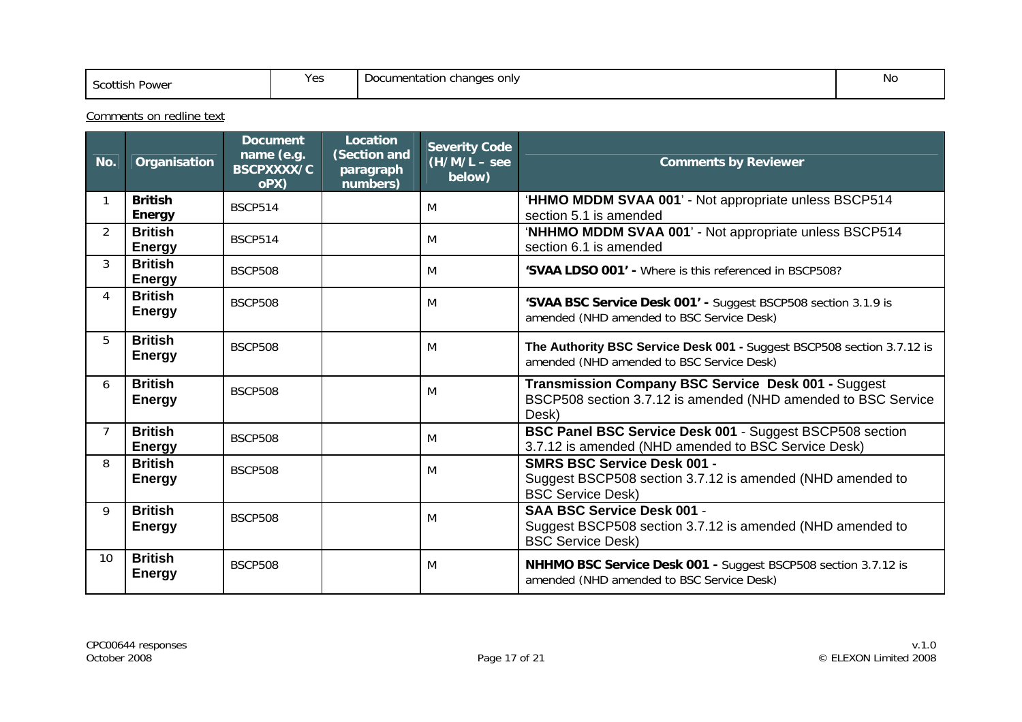| Scottish<br>Power | $V_{\Omega}$<br>1 CJ | Documentation changes only<br>. . | No |
|-------------------|----------------------|-----------------------------------|----|
|-------------------|----------------------|-----------------------------------|----|

Comments on redline text

| No.             | Organisation                    | <b>Document</b><br>name (e.g.<br><b>BSCPXXXX/C</b><br>oPX) | Location<br>(Section and<br>paragraph<br>numbers) | <b>Severity Code</b><br>$(H/M/L - \text{see}$<br>below) | <b>Comments by Reviewer</b>                                                                                                   |
|-----------------|---------------------------------|------------------------------------------------------------|---------------------------------------------------|---------------------------------------------------------|-------------------------------------------------------------------------------------------------------------------------------|
|                 | <b>British</b><br><b>Energy</b> | <b>BSCP514</b>                                             |                                                   | M                                                       | 'HHMO MDDM SVAA 001' - Not appropriate unless BSCP514<br>section 5.1 is amended                                               |
| $\overline{2}$  | <b>British</b><br><b>Energy</b> | <b>BSCP514</b>                                             |                                                   | M                                                       | 'NHHMO MDDM SVAA 001' - Not appropriate unless BSCP514<br>section 6.1 is amended                                              |
| $\mathcal{S}$   | <b>British</b><br><b>Energy</b> | <b>BSCP508</b>                                             |                                                   | M                                                       | 'SVAA LDSO 001' - Where is this referenced in BSCP508?                                                                        |
| 4               | <b>British</b><br><b>Energy</b> | <b>BSCP508</b>                                             |                                                   | M                                                       | 'SVAA BSC Service Desk 001' - Suggest BSCP508 section 3.1.9 is<br>amended (NHD amended to BSC Service Desk)                   |
| 5               | <b>British</b><br><b>Energy</b> | <b>BSCP508</b>                                             |                                                   | M                                                       | The Authority BSC Service Desk 001 - Suggest BSCP508 section 3.7.12 is<br>amended (NHD amended to BSC Service Desk)           |
| 6               | <b>British</b><br><b>Energy</b> | <b>BSCP508</b>                                             |                                                   | M                                                       | Transmission Company BSC Service Desk 001 - Suggest<br>BSCP508 section 3.7.12 is amended (NHD amended to BSC Service<br>Desk) |
| 7               | <b>British</b><br><b>Energy</b> | <b>BSCP508</b>                                             |                                                   | M                                                       | BSC Panel BSC Service Desk 001 - Suggest BSCP508 section<br>3.7.12 is amended (NHD amended to BSC Service Desk)               |
| 8               | <b>British</b><br><b>Energy</b> | <b>BSCP508</b>                                             |                                                   | M                                                       | <b>SMRS BSC Service Desk 001 -</b><br>Suggest BSCP508 section 3.7.12 is amended (NHD amended to<br><b>BSC Service Desk)</b>   |
| 9               | <b>British</b><br><b>Energy</b> | <b>BSCP508</b>                                             |                                                   | M                                                       | SAA BSC Service Desk 001 -<br>Suggest BSCP508 section 3.7.12 is amended (NHD amended to<br><b>BSC Service Desk)</b>           |
| 10 <sup>1</sup> | <b>British</b><br><b>Energy</b> | <b>BSCP508</b>                                             |                                                   | M                                                       | NHHMO BSC Service Desk 001 - Suggest BSCP508 section 3.7.12 is<br>amended (NHD amended to BSC Service Desk)                   |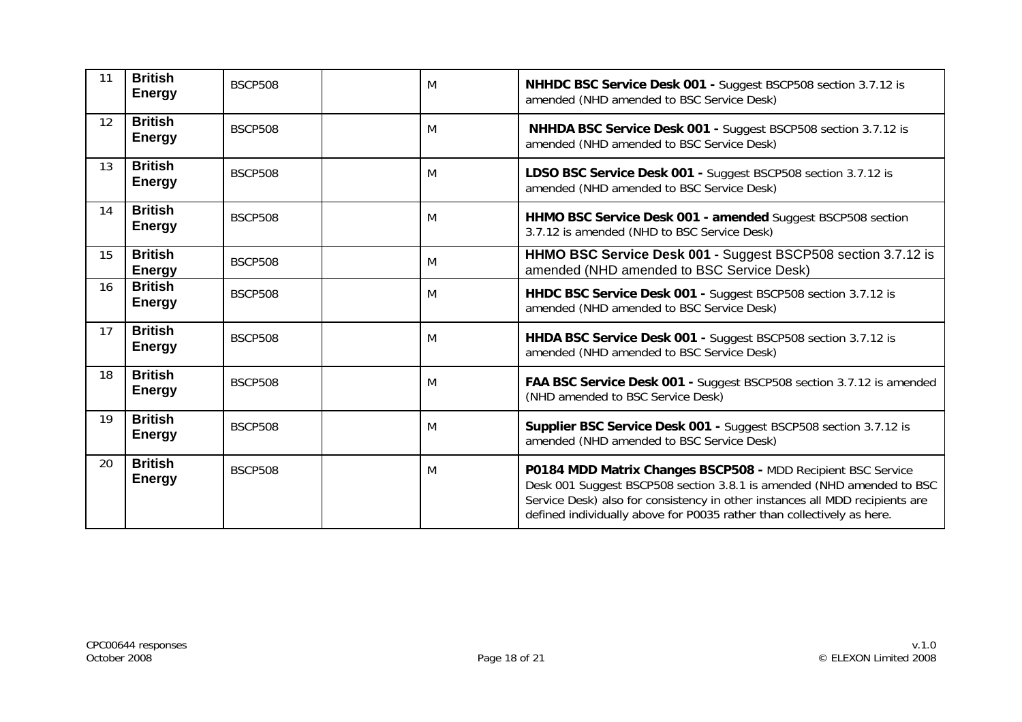| 11 | <b>British</b><br><b>Energy</b> | <b>BSCP508</b> | M | NHHDC BSC Service Desk 001 - Suggest BSCP508 section 3.7.12 is<br>amended (NHD amended to BSC Service Desk)                                                                                                                                                                                     |  |
|----|---------------------------------|----------------|---|-------------------------------------------------------------------------------------------------------------------------------------------------------------------------------------------------------------------------------------------------------------------------------------------------|--|
| 12 | <b>British</b><br><b>Energy</b> | <b>BSCP508</b> | M | NHHDA BSC Service Desk 001 - Suggest BSCP508 section 3.7.12 is<br>amended (NHD amended to BSC Service Desk)                                                                                                                                                                                     |  |
| 13 | <b>British</b><br><b>Energy</b> | <b>BSCP508</b> | M | LDSO BSC Service Desk 001 - Suggest BSCP508 section 3.7.12 is<br>amended (NHD amended to BSC Service Desk)                                                                                                                                                                                      |  |
| 14 | <b>British</b><br><b>Energy</b> | <b>BSCP508</b> | M | HHMO BSC Service Desk 001 - amended Suggest BSCP508 section<br>3.7.12 is amended (NHD to BSC Service Desk)                                                                                                                                                                                      |  |
| 15 | <b>British</b><br><b>Energy</b> | <b>BSCP508</b> | M | HHMO BSC Service Desk 001 - Suggest BSCP508 section 3.7.12 is<br>amended (NHD amended to BSC Service Desk)                                                                                                                                                                                      |  |
| 16 | <b>British</b><br><b>Energy</b> | <b>BSCP508</b> | M | HHDC BSC Service Desk 001 - Suggest BSCP508 section 3.7.12 is<br>amended (NHD amended to BSC Service Desk)                                                                                                                                                                                      |  |
| 17 | <b>British</b><br><b>Energy</b> | <b>BSCP508</b> | M | HHDA BSC Service Desk 001 - Suggest BSCP508 section 3.7.12 is<br>amended (NHD amended to BSC Service Desk)                                                                                                                                                                                      |  |
| 18 | <b>British</b><br><b>Energy</b> | <b>BSCP508</b> | M | FAA BSC Service Desk 001 - Suggest BSCP508 section 3.7.12 is amended<br>(NHD amended to BSC Service Desk)                                                                                                                                                                                       |  |
| 19 | <b>British</b><br><b>Energy</b> | <b>BSCP508</b> | M | Supplier BSC Service Desk 001 - Suggest BSCP508 section 3.7.12 is<br>amended (NHD amended to BSC Service Desk)                                                                                                                                                                                  |  |
| 20 | <b>British</b><br><b>Energy</b> | <b>BSCP508</b> | M | P0184 MDD Matrix Changes BSCP508 - MDD Recipient BSC Service<br>Desk 001 Suggest BSCP508 section 3.8.1 is amended (NHD amended to BSC<br>Service Desk) also for consistency in other instances all MDD recipients are<br>defined individually above for P0035 rather than collectively as here. |  |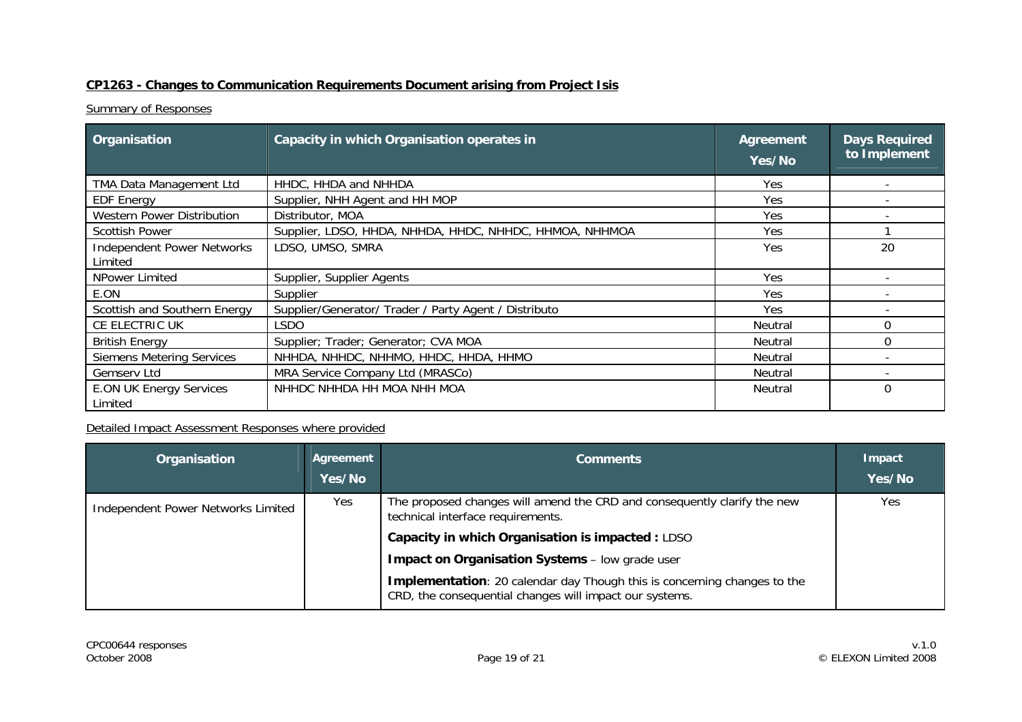#### **CP1263 - Changes to Communication Requirements Document arising from Project Isis**

#### **Summary of Responses**

| Organisation                                 | Capacity in which Organisation operates in              | <b>Agreement</b><br>Yes/No | <b>Days Required</b><br>to Implement |
|----------------------------------------------|---------------------------------------------------------|----------------------------|--------------------------------------|
| TMA Data Management Ltd                      | HHDC, HHDA and NHHDA                                    | Yes.                       |                                      |
| <b>EDF Energy</b>                            | Supplier, NHH Agent and HH MOP                          | Yes                        |                                      |
| <b>Western Power Distribution</b>            | Distributor, MOA                                        | Yes                        |                                      |
| <b>Scottish Power</b>                        | Supplier, LDSO, HHDA, NHHDA, HHDC, NHHDC, HHMOA, NHHMOA | Yes                        |                                      |
| <b>Independent Power Networks</b><br>Limited | LDSO, UMSO, SMRA                                        | Yes                        | 20                                   |
| NPower Limited                               | Supplier, Supplier Agents                               | Yes                        |                                      |
| E.ON                                         | Supplier                                                | <b>Yes</b>                 |                                      |
| Scottish and Southern Energy                 | Supplier/Generator/ Trader / Party Agent / Distributo   | Yes                        |                                      |
| CE ELECTRIC UK                               | LSDO                                                    | Neutral                    | 0                                    |
| <b>British Energy</b>                        | Supplier; Trader; Generator; CVA MOA                    | <b>Neutral</b>             | 0                                    |
| <b>Siemens Metering Services</b>             | NHHDA, NHHDC, NHHMO, HHDC, HHDA, HHMO                   | Neutral                    |                                      |
| Gemserv Ltd                                  | MRA Service Company Ltd (MRASCo)                        | Neutral                    |                                      |
| <b>E.ON UK Energy Services</b><br>Limited    | NHHDC NHHDA HH MOA NHH MOA                              | Neutral                    | 0                                    |

| Organisation                       | Agreement<br><b>Yes/No</b> | <b>Comments</b>                                                                                                                            | Impact<br>Yes/No |
|------------------------------------|----------------------------|--------------------------------------------------------------------------------------------------------------------------------------------|------------------|
| Independent Power Networks Limited | Yes                        | The proposed changes will amend the CRD and consequently clarify the new<br>technical interface requirements.                              | Yes              |
|                                    |                            | Capacity in which Organisation is impacted : LDSO                                                                                          |                  |
|                                    |                            | Impact on Organisation Systems - low grade user                                                                                            |                  |
|                                    |                            | <b>Implementation:</b> 20 calendar day Though this is concerning changes to the<br>CRD, the consequential changes will impact our systems. |                  |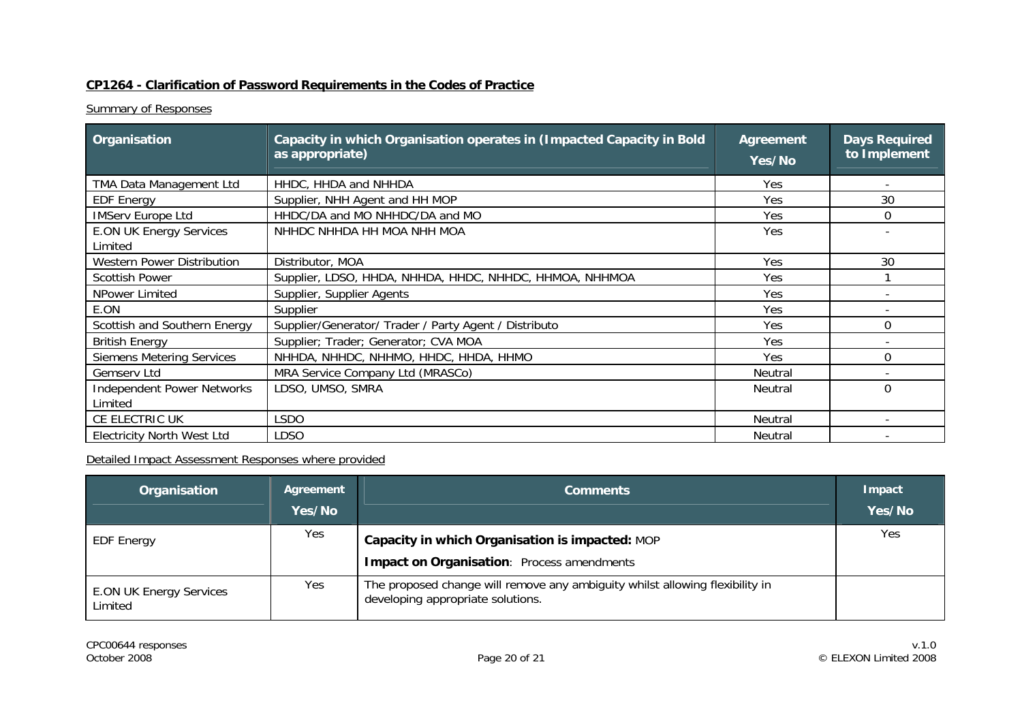## **CP1264 - Clarification of Password Requirements in the Codes of Practice**

#### **Summary of Responses**

| Organisation                                 | Capacity in which Organisation operates in (Impacted Capacity in Bold<br>as appropriate) | <b>Agreement</b><br>Yes/No | <b>Days Required</b><br>to Implement |
|----------------------------------------------|------------------------------------------------------------------------------------------|----------------------------|--------------------------------------|
| TMA Data Management Ltd                      | HHDC, HHDA and NHHDA                                                                     | <b>Yes</b>                 |                                      |
| <b>EDF Energy</b>                            | Supplier, NHH Agent and HH MOP                                                           | Yes                        | 30                                   |
| <b>IMServ Europe Ltd</b>                     | HHDC/DA and MO NHHDC/DA and MO                                                           | Yes                        | 0                                    |
| <b>E.ON UK Energy Services</b><br>Limited    | NHHDC NHHDA HH MOA NHH MOA                                                               | Yes                        |                                      |
| <b>Western Power Distribution</b>            | Distributor, MOA                                                                         | Yes                        | 30                                   |
| <b>Scottish Power</b>                        | Supplier, LDSO, HHDA, NHHDA, HHDC, NHHDC, HHMOA, NHHMOA                                  | Yes                        |                                      |
| NPower Limited                               | Supplier, Supplier Agents                                                                | Yes                        |                                      |
| E.ON                                         | Supplier                                                                                 | Yes                        |                                      |
| Scottish and Southern Energy                 | Supplier/Generator/ Trader / Party Agent / Distributo                                    | Yes                        | 0                                    |
| <b>British Energy</b>                        | Supplier; Trader; Generator; CVA MOA                                                     | Yes                        |                                      |
| <b>Siemens Metering Services</b>             | NHHDA, NHHDC, NHHMO, HHDC, HHDA, HHMO                                                    | Yes                        | 0                                    |
| Gemserv Ltd                                  | MRA Service Company Ltd (MRASCo)                                                         | Neutral                    |                                      |
| <b>Independent Power Networks</b><br>Limited | LDSO, UMSO, SMRA                                                                         | <b>Neutral</b>             | $\Omega$                             |
| CE ELECTRIC UK                               | LSDO                                                                                     | Neutral                    |                                      |
| <b>Electricity North West Ltd</b>            | LDSO                                                                                     | <b>Neutral</b>             |                                      |

| Organisation                              | Agreement<br>Yes/No | <b>Comments</b>                                                                                                   | Impact<br>Yes/No |
|-------------------------------------------|---------------------|-------------------------------------------------------------------------------------------------------------------|------------------|
| <b>EDF</b> Energy                         | Yes                 | Capacity in which Organisation is impacted: MOP<br>Impact on Organisation: Process amendments                     | Yes              |
| <b>E.ON UK Energy Services</b><br>Limited | Yes.                | The proposed change will remove any ambiguity whilst allowing flexibility in<br>developing appropriate solutions. |                  |